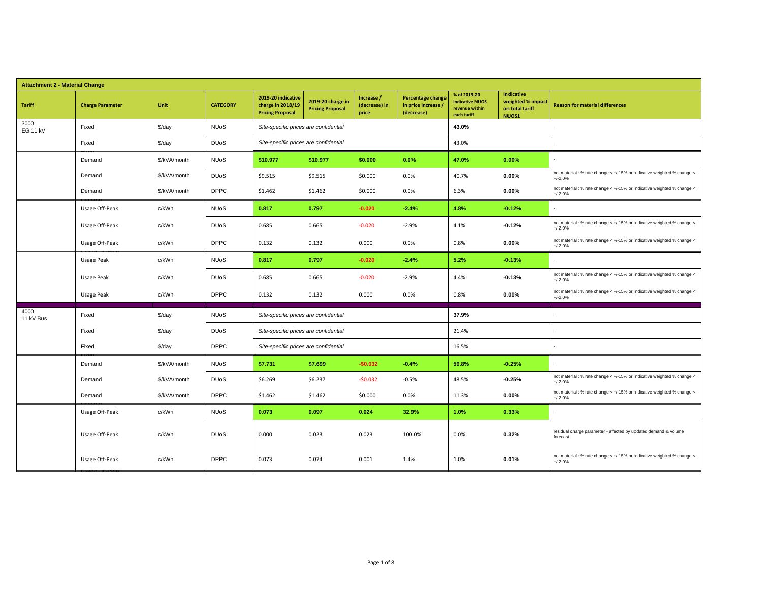| <b>Attachment 2 - Material Change</b> |                         |              |                        |                                                                    |                                              |                                      |                                                               |                                                                         |                                                                    |                                                                                      |
|---------------------------------------|-------------------------|--------------|------------------------|--------------------------------------------------------------------|----------------------------------------------|--------------------------------------|---------------------------------------------------------------|-------------------------------------------------------------------------|--------------------------------------------------------------------|--------------------------------------------------------------------------------------|
| <b>Tariff</b>                         | <b>Charge Parameter</b> | Unit         | <b>CATEGORY</b>        | 2019-20 indicative<br>charge in 2018/19<br><b>Pricing Proposal</b> | 2019-20 charge in<br><b>Pricing Proposal</b> | Increase /<br>(decrease) in<br>price | <b>Percentage change</b><br>in price increase /<br>(decrease) | % of 2019-20<br><b>indicative NUOS</b><br>revenue within<br>each tariff | <b>Indicative</b><br>weighted % impact<br>on total tariff<br>NUOS1 | <b>Reason for material differences</b>                                               |
| 3000<br><b>EG 11 kV</b>               | Fixed                   | \$/day       | <b>NUoS</b>            | Site-specific prices are confidential                              |                                              |                                      |                                                               | 43.0%                                                                   |                                                                    |                                                                                      |
|                                       | Fixed                   | \$/day       | <b>DU<sub>o</sub>S</b> | Site-specific prices are confidential                              |                                              |                                      |                                                               | 43.0%                                                                   |                                                                    |                                                                                      |
|                                       | Demand                  | \$/kVA/month | <b>NUoS</b>            | \$10.977                                                           | \$10.977                                     | \$0.000                              | 0.0%                                                          | 47.0%                                                                   | 0.00%                                                              |                                                                                      |
|                                       | Demand                  | \$/kVA/month | <b>DU<sub>o</sub>S</b> | \$9.515                                                            | \$9.515                                      | \$0.000                              | 0.0%                                                          | 40.7%                                                                   | 0.00%                                                              | not material : % rate change < +/-15% or indicative weighted % change <<br>$+/-2.0%$ |
|                                       | Demand                  | \$/kVA/month | <b>DPPC</b>            | \$1.462                                                            | \$1.462                                      | \$0.000                              | 0.0%                                                          | 6.3%                                                                    | 0.00%                                                              | not material : % rate change < +/-15% or indicative weighted % change <<br>$+/-2.0%$ |
|                                       | Usage Off-Peak          | c/kWh        | <b>NUoS</b>            | 0.817                                                              | 0.797                                        | $-0.020$                             | $-2.4%$                                                       | 4.8%                                                                    | $-0.12%$                                                           | $\sim$                                                                               |
|                                       | Usage Off-Peak          | c/kWh        | <b>DU<sub>o</sub>S</b> | 0.685                                                              | 0.665                                        | $-0.020$                             | $-2.9%$                                                       | 4.1%                                                                    | $-0.12%$                                                           | not material : % rate change < +/-15% or indicative weighted % change <<br>$+/-2.0%$ |
|                                       | Usage Off-Peak          | c/kWh        | <b>DPPC</b>            | 0.132                                                              | 0.132                                        | 0.000                                | 0.0%                                                          | 0.8%                                                                    | 0.00%                                                              | not material : % rate change < +/-15% or indicative weighted % change <<br>$+/-2.0%$ |
|                                       | Usage Peak              | c/kWh        | <b>NUoS</b>            | 0.817                                                              | 0.797                                        | $-0.020$                             | $-2.4%$                                                       | 5.2%                                                                    | $-0.13%$                                                           | ÷.                                                                                   |
|                                       | Usage Peak              | c/kWh        | <b>DU<sub>o</sub>S</b> | 0.685                                                              | 0.665                                        | $-0.020$                             | $-2.9%$                                                       | 4.4%                                                                    | $-0.13%$                                                           | not material : % rate change < +/-15% or indicative weighted % change <<br>$+/-2.0%$ |
|                                       | Usage Peak              | c/kWh        | <b>DPPC</b>            | 0.132                                                              | 0.132                                        | 0.000                                | 0.0%                                                          | 0.8%                                                                    | 0.00%                                                              | not material : % rate change < +/-15% or indicative weighted % change <<br>$+/-2.0%$ |
| 4000<br>11 kV Bus                     | Fixed                   | \$/day       | <b>NUoS</b>            | Site-specific prices are confidential                              |                                              |                                      |                                                               | 37.9%                                                                   |                                                                    |                                                                                      |
|                                       | Fixed                   | \$/day       | <b>DU<sub>o</sub>S</b> | Site-specific prices are confidential                              |                                              |                                      |                                                               | 21.4%                                                                   |                                                                    |                                                                                      |
|                                       | Fixed                   | \$/day       | <b>DPPC</b>            | Site-specific prices are confidential                              |                                              |                                      |                                                               | 16.5%                                                                   |                                                                    |                                                                                      |
|                                       | Demand                  | \$/kVA/month | <b>NUoS</b>            | \$7.731                                                            | \$7.699                                      | $-$0.032$                            | $-0.4%$                                                       | 59.8%                                                                   | $-0.25%$                                                           |                                                                                      |
|                                       | Demand                  | \$/kVA/month | <b>DU<sub>o</sub>S</b> | \$6.269                                                            | \$6.237                                      | $-50.032$                            | $-0.5%$                                                       | 48.5%                                                                   | $-0.25%$                                                           | not material : % rate change < +/-15% or indicative weighted % change <<br>$+/-2.0%$ |
|                                       | Demand                  | \$/kVA/month | <b>DPPC</b>            | \$1.462                                                            | \$1.462                                      | \$0.000                              | 0.0%                                                          | 11.3%                                                                   | 0.00%                                                              | not material : % rate change < +/-15% or indicative weighted % change <<br>$+/-2.0%$ |
|                                       | Usage Off-Peak          | c/kWh        | <b>NUoS</b>            | 0.073                                                              | 0.097                                        | 0.024                                | 32.9%                                                         | 1.0%                                                                    | 0.33%                                                              |                                                                                      |
|                                       | Usage Off-Peak          | c/kWh        | <b>DU<sub>o</sub>S</b> | 0.000                                                              | 0.023                                        | 0.023                                | 100.0%                                                        | 0.0%                                                                    | 0.32%                                                              | residual charge parameter - affected by updated demand & volume<br>forecast          |
|                                       | Usage Off-Peak          | c/kWh        | <b>DPPC</b>            | 0.073                                                              | 0.074                                        | 0.001                                | 1.4%                                                          | 1.0%                                                                    | 0.01%                                                              | not material : % rate change < +/-15% or indicative weighted % change <<br>$+/-2.0%$ |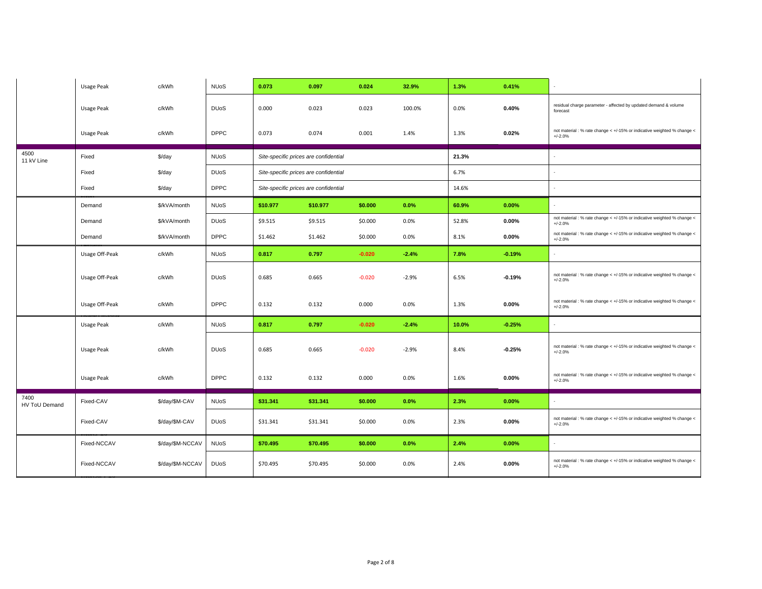|                       | Usage Peak        | c/kWh            | <b>NUoS</b>            | 0.073                                 | 0.097    | 0.024    | 32.9%   | 1.3%  | 0.41%    |                                                                                      |
|-----------------------|-------------------|------------------|------------------------|---------------------------------------|----------|----------|---------|-------|----------|--------------------------------------------------------------------------------------|
|                       | Usage Peak        | c/kWh            | <b>DU<sub>o</sub>S</b> | 0.000                                 | 0.023    | 0.023    | 100.0%  | 0.0%  | 0.40%    | residual charge parameter - affected by updated demand & volume<br>forecast          |
|                       | Usage Peak        | c/kWh            | <b>DPPC</b>            | 0.073                                 | 0.074    | 0.001    | 1.4%    | 1.3%  | 0.02%    | not material : % rate change < +/-15% or indicative weighted % change <<br>$+/-2.0%$ |
| 4500<br>11 kV Line    | Fixed             | \$/day           | <b>NUoS</b>            | Site-specific prices are confidential |          |          |         | 21.3% |          |                                                                                      |
|                       | Fixed             | \$/day           | <b>DU<sub>o</sub>S</b> | Site-specific prices are confidential |          |          |         | 6.7%  |          |                                                                                      |
|                       | Fixed             | \$/day           | <b>DPPC</b>            | Site-specific prices are confidential |          |          |         | 14.6% |          |                                                                                      |
|                       | Demand            | \$/kVA/month     | <b>NUoS</b>            | \$10.977                              | \$10.977 | \$0.000  | 0.0%    | 60.9% | 0.00%    |                                                                                      |
|                       | Demand            | \$/kVA/month     | <b>DU<sub>o</sub>S</b> | \$9.515                               | \$9.515  | \$0.000  | 0.0%    | 52.8% | $0.00\%$ | not material : % rate change < +/-15% or indicative weighted % change <<br>$+/-2.0%$ |
|                       | Demand            | \$/kVA/month     | <b>DPPC</b>            | \$1.462                               | \$1.462  | \$0.000  | 0.0%    | 8.1%  | $0.00\%$ | not material : % rate change < +/-15% or indicative weighted % change <<br>$+/-2.0%$ |
|                       | Usage Off-Peak    | c/kWh            | <b>NUoS</b>            | 0.817                                 | 0.797    | $-0.020$ | $-2.4%$ | 7.8%  | $-0.19%$ |                                                                                      |
|                       | Usage Off-Peak    | c/kWh            | <b>DU<sub>o</sub>S</b> | 0.685                                 | 0.665    | $-0.020$ | $-2.9%$ | 6.5%  | $-0.19%$ | not material : % rate change < +/-15% or indicative weighted % change <<br>$+/-2.0%$ |
|                       | Usage Off-Peak    | c/kWh            | <b>DPPC</b>            | 0.132                                 | 0.132    | 0.000    | 0.0%    | 1.3%  | $0.00\%$ | not material : % rate change < +/-15% or indicative weighted % change <<br>$+/-2.0%$ |
|                       | Usage Peak        | c/kWh            | <b>NUoS</b>            | 0.817                                 | 0.797    | $-0.020$ | $-2.4%$ | 10.0% | $-0.25%$ | $\sim$                                                                               |
|                       | <b>Usage Peak</b> | c/kWh            | <b>DU<sub>o</sub>S</b> | 0.685                                 | 0.665    | $-0.020$ | $-2.9%$ | 8.4%  | $-0.25%$ | not material : % rate change < +/-15% or indicative weighted % change <<br>$+/-2.0%$ |
|                       | Usage Peak        | c/kWh            | <b>DPPC</b>            | 0.132                                 | 0.132    | 0.000    | 0.0%    | 1.6%  | $0.00\%$ | not material : % rate change < +/-15% or indicative weighted % change <<br>$+/-2.0%$ |
| 7400<br>HV ToU Demand | Fixed-CAV         | \$/day/\$M-CAV   | <b>NUoS</b>            | \$31.341                              | \$31.341 | \$0.000  | 0.0%    | 2.3%  | 0.00%    | $\sim$                                                                               |
|                       | Fixed-CAV         | \$/day/\$M-CAV   | <b>DU<sub>o</sub>S</b> | \$31.341                              | \$31.341 | \$0.000  | 0.0%    | 2.3%  | $0.00\%$ | not material : % rate change < +/-15% or indicative weighted % change <<br>$+/-2.0%$ |
|                       | Fixed-NCCAV       | \$/day/\$M-NCCAV | <b>NUoS</b>            | \$70.495                              | \$70.495 | \$0.000  | 0.0%    | 2.4%  | 0.00%    |                                                                                      |
|                       | Fixed-NCCAV       | \$/day/\$M-NCCAV | <b>DU<sub>o</sub>S</b> | \$70.495                              | \$70.495 | \$0.000  | 0.0%    | 2.4%  | $0.00\%$ | not material : % rate change < +/-15% or indicative weighted % change <<br>$+/-2.0%$ |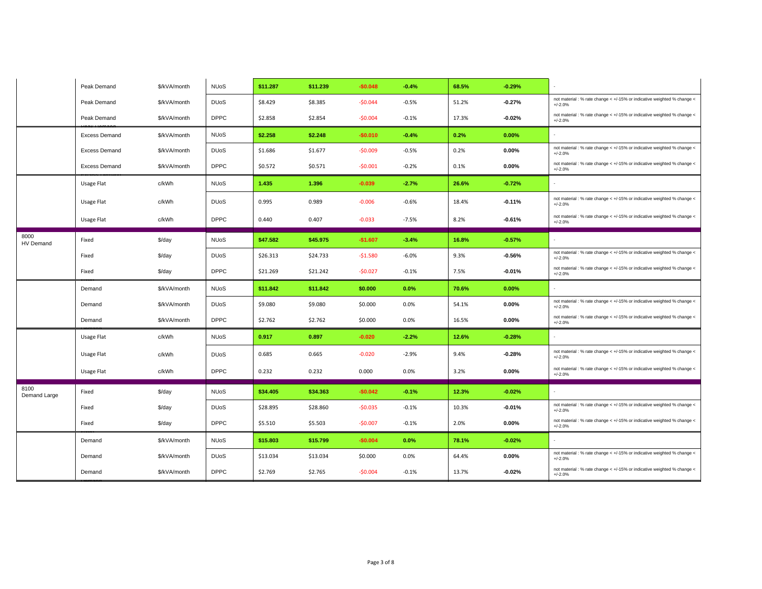|                      | Peak Demand          | \$/kVA/month | <b>NUoS</b>            | \$11.287 | \$11.239 | $-$0.048$ | $-0.4%$ | 68.5% | $-0.29%$ |                                                                                      |
|----------------------|----------------------|--------------|------------------------|----------|----------|-----------|---------|-------|----------|--------------------------------------------------------------------------------------|
|                      | Peak Demand          | \$/kVA/month | <b>DU<sub>o</sub>S</b> | \$8.429  | \$8.385  | $-50.044$ | $-0.5%$ | 51.2% | $-0.27%$ | not material : % rate change < +/-15% or indicative weighted % change <<br>$+/-2.0%$ |
|                      | Peak Demand          | \$/kVA/month | <b>DPPC</b>            | \$2.858  | \$2.854  | $-50.004$ | $-0.1%$ | 17.3% | $-0.02%$ | not material : % rate change < +/-15% or indicative weighted % change <<br>$+/-2.0%$ |
|                      | <b>Excess Demand</b> | \$/kVA/month | <b>NUoS</b>            | \$2.258  | \$2.248  | $-$0.010$ | $-0.4%$ | 0.2%  | 0.00%    | $\sim$                                                                               |
|                      | <b>Excess Demand</b> | \$/kVA/month | <b>DU<sub>o</sub>S</b> | \$1.686  | \$1.677  | $-$0.009$ | $-0.5%$ | 0.2%  | 0.00%    | not material : % rate change < +/-15% or indicative weighted % change <<br>$+/-2.0%$ |
|                      | <b>Excess Demand</b> | \$/kVA/month | <b>DPPC</b>            | \$0.572  | \$0.571  | $-50.001$ | $-0.2%$ | 0.1%  | 0.00%    | not material : % rate change < +/-15% or indicative weighted % change <<br>$+/-2.0%$ |
|                      | Usage Flat           | c/kWh        | <b>NUoS</b>            | 1.435    | 1.396    | $-0.039$  | $-2.7%$ | 26.6% | $-0.72%$ | $\sim$                                                                               |
|                      | Usage Flat           | c/kWh        | <b>DU<sub>o</sub>S</b> | 0.995    | 0.989    | $-0.006$  | $-0.6%$ | 18.4% | $-0.11%$ | not material : % rate change < +/-15% or indicative weighted % change <<br>$+/-2.0%$ |
|                      | Usage Flat           | c/kWh        | <b>DPPC</b>            | 0.440    | 0.407    | $-0.033$  | $-7.5%$ | 8.2%  | $-0.61%$ | not material : % rate change < +/-15% or indicative weighted % change <<br>$+/-2.0%$ |
| 8000<br>HV Demand    | Fixed                | \$/day       | <b>NUoS</b>            | \$47.582 | \$45.975 | $-$1.607$ | $-3.4%$ | 16.8% | $-0.57%$ |                                                                                      |
|                      | Fixed                | \$/day       | <b>DU<sub>o</sub>S</b> | \$26.313 | \$24.733 | $-51.580$ | $-6.0%$ | 9.3%  | $-0.56%$ | not material : % rate change < +/-15% or indicative weighted % change <<br>$+/-2.0%$ |
|                      | Fixed                | \$/day       | <b>DPPC</b>            | \$21.269 | \$21.242 | $-50.027$ | $-0.1%$ | 7.5%  | $-0.01%$ | not material : % rate change < +/-15% or indicative weighted % change <<br>$+/-2.0%$ |
|                      |                      |              |                        |          |          |           |         |       |          |                                                                                      |
|                      | Demand               | \$/kVA/month | <b>NUoS</b>            | \$11.842 | \$11.842 | \$0.000   | 0.0%    | 70.6% | 0.00%    | $\sim$                                                                               |
|                      | Demand               | \$/kVA/month | <b>DU<sub>o</sub>S</b> | \$9.080  | \$9.080  | \$0.000   | 0.0%    | 54.1% | 0.00%    | not material : % rate change < +/-15% or indicative weighted % change <<br>$+/-2.0%$ |
|                      | Demand               | \$/kVA/month | <b>DPPC</b>            | \$2.762  | \$2.762  | \$0.000   | 0.0%    | 16.5% | $0.00\%$ | not material : % rate change < +/-15% or indicative weighted % change <<br>$+/-2.0%$ |
|                      | Usage Flat           | c/kWh        | <b>NUoS</b>            | 0.917    | 0.897    | $-0.020$  | $-2.2%$ | 12.6% | $-0.28%$ |                                                                                      |
|                      | Usage Flat           | c/kWh        | <b>DU<sub>o</sub>S</b> | 0.685    | 0.665    | $-0.020$  | $-2.9%$ | 9.4%  | $-0.28%$ | not material : % rate change < +/-15% or indicative weighted % change <<br>$+/-2.0%$ |
|                      | Usage Flat           | c/kWh        | <b>DPPC</b>            | 0.232    | 0.232    | 0.000     | 0.0%    | 3.2%  | 0.00%    | not material : % rate change < +/-15% or indicative weighted % change <<br>$+/-2.0%$ |
| 8100<br>Demand Large | Fixed                | \$/day       | <b>NUoS</b>            | \$34.405 | \$34.363 | $-$0.042$ | $-0.1%$ | 12.3% | $-0.02%$ |                                                                                      |
|                      | Fixed                | \$/day       | <b>DU<sub>o</sub>S</b> | \$28.895 | \$28.860 | $-50.035$ | $-0.1%$ | 10.3% | $-0.01%$ | not material : % rate change < +/-15% or indicative weighted % change <<br>$+/-2.0%$ |
|                      | Fixed                | \$/day       | <b>DPPC</b>            | \$5.510  | \$5.503  | $-50.007$ | $-0.1%$ | 2.0%  | $0.00\%$ | not material : % rate change < +/-15% or indicative weighted % change <<br>$+/-2.0%$ |
|                      | Demand               | \$/kVA/month | <b>NUoS</b>            | \$15.803 | \$15.799 | $-$0.004$ | 0.0%    | 78.1% | $-0.02%$ |                                                                                      |
|                      | Demand               | \$/kVA/month | <b>DU<sub>o</sub>S</b> | \$13.034 | \$13.034 | \$0.000   | 0.0%    | 64.4% | 0.00%    | not material : % rate change < +/-15% or indicative weighted % change <<br>$+/-2.0%$ |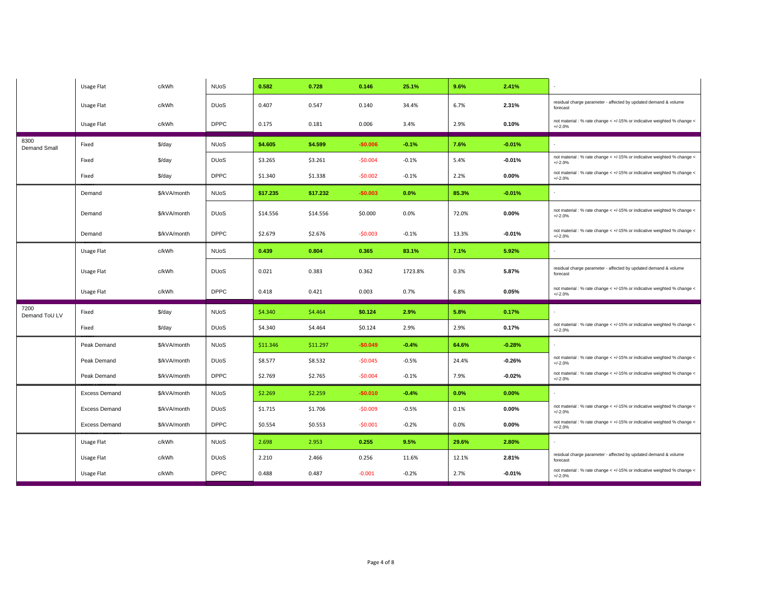|                       | Usage Flat           | c/kWh        | <b>NUoS</b>            | 0.582    | 0.728    | 0.146     | 25.1%   | 9.6%  | 2.41%    |                                                                                      |
|-----------------------|----------------------|--------------|------------------------|----------|----------|-----------|---------|-------|----------|--------------------------------------------------------------------------------------|
|                       | Usage Flat           | c/kWh        | <b>DU<sub>o</sub>S</b> | 0.407    | 0.547    | 0.140     | 34.4%   | 6.7%  | 2.31%    | residual charge parameter - affected by updated demand & volume<br>forecast          |
|                       | Usage Flat           | c/kWh        | <b>DPPC</b>            | 0.175    | 0.181    | 0.006     | 3.4%    | 2.9%  | 0.10%    | not material : % rate change < +/-15% or indicative weighted % change <<br>$+/-2.0%$ |
| 8300<br>Demand Small  | Fixed                | \$/day       | <b>NUoS</b>            | \$4.605  | \$4.599  | $-$0.006$ | $-0.1%$ | 7.6%  | $-0.01%$ | $\sim$                                                                               |
|                       | Fixed                | \$/day       | <b>DU<sub>o</sub>S</b> | \$3.265  | \$3.261  | $-$0.004$ | $-0.1%$ | 5.4%  | $-0.01%$ | not material : % rate change < +/-15% or indicative weighted % change <<br>$+/-2.0%$ |
|                       | Fixed                | \$/day       | <b>DPPC</b>            | \$1.340  | \$1.338  | $-50.002$ | $-0.1%$ | 2.2%  | 0.00%    | not material : % rate change < +/-15% or indicative weighted % change <<br>$+/-2.0%$ |
|                       | Demand               | \$/kVA/month | <b>NUoS</b>            | \$17.235 | \$17.232 | $-$0.003$ | 0.0%    | 85.3% | $-0.01%$ | $\sim$                                                                               |
|                       | Demand               | \$/kVA/month | <b>DU<sub>o</sub>S</b> | \$14.556 | \$14.556 | \$0.000   | 0.0%    | 72.0% | $0.00\%$ | not material : % rate change < +/-15% or indicative weighted % change <<br>$+/-2.0%$ |
|                       | Demand               | \$/kVA/month | <b>DPPC</b>            | \$2.679  | \$2.676  | $-50.003$ | $-0.1%$ | 13.3% | $-0.01%$ | not material : % rate change < +/-15% or indicative weighted % change <<br>$+/-2.0%$ |
|                       | Usage Flat           | c/kWh        | <b>NUoS</b>            | 0.439    | 0.804    | 0.365     | 83.1%   | 7.1%  | 5.92%    |                                                                                      |
|                       | Usage Flat           | c/kWh        | <b>DU<sub>o</sub>S</b> | 0.021    | 0.383    | 0.362     | 1723.8% | 0.3%  | 5.87%    | residual charge parameter - affected by updated demand & volume<br>forecast          |
|                       | Usage Flat           | c/kWh        | <b>DPPC</b>            | 0.418    | 0.421    | 0.003     | 0.7%    | 6.8%  | 0.05%    | not material : % rate change < +/-15% or indicative weighted % change <<br>$+/-2.0%$ |
| 7200<br>Demand ToU LV | Fixed                | \$/day       | <b>NUoS</b>            | \$4.340  | \$4.464  | \$0.124   | 2.9%    | 5.8%  | 0.17%    |                                                                                      |
|                       | Fixed                | \$/day       | <b>DU<sub>o</sub>S</b> | \$4.340  | \$4.464  | \$0.124   | 2.9%    | 2.9%  | 0.17%    | not material : % rate change < +/-15% or indicative weighted % change <<br>$+/-2.0%$ |
|                       | Peak Demand          | \$/kVA/month | <b>NUoS</b>            | \$11.346 | \$11.297 | $-$0.049$ | $-0.4%$ | 64.6% | $-0.28%$ |                                                                                      |
|                       | Peak Demand          | \$/kVA/month | <b>DU<sub>o</sub>S</b> | \$8.577  | \$8.532  | $-50.045$ | $-0.5%$ | 24.4% | $-0.26%$ | not material : % rate change < +/-15% or indicative weighted % change <<br>$+/-2.0%$ |
|                       | Peak Demand          | \$/kVA/month | <b>DPPC</b>            | \$2.769  | \$2.765  | $-50.004$ | $-0.1%$ | 7.9%  | $-0.02%$ | not material : % rate change < +/-15% or indicative weighted % change <<br>$+/-2.0%$ |
|                       |                      |              |                        |          |          |           |         |       |          |                                                                                      |
|                       | <b>Excess Demand</b> | \$/kVA/month | <b>NUoS</b>            | \$2.269  | \$2.259  | $-$0.010$ | $-0.4%$ | 0.0%  | 0.00%    |                                                                                      |
|                       | <b>Excess Demand</b> | \$/kVA/month | <b>DU<sub>o</sub>S</b> | \$1.715  | \$1.706  | $-50.009$ | $-0.5%$ | 0.1%  | 0.00%    | not material : % rate change < +/-15% or indicative weighted % change <<br>$+/-2.0%$ |
|                       | <b>Excess Demand</b> | \$/kVA/month | <b>DPPC</b>            | \$0.554  | \$0.553  | $-50.001$ | $-0.2%$ | 0.0%  | $0.00\%$ | not material : % rate change < +/-15% or indicative weighted % change <<br>$+/-2.0%$ |
|                       | Usage Flat           | c/kWh        | <b>NUoS</b>            | 2.698    | 2.953    | 0.255     | 9.5%    | 29.6% | 2.80%    |                                                                                      |
|                       | Usage Flat           | c/kWh        | <b>DU<sub>o</sub>S</b> | 2.210    | 2.466    | 0.256     | 11.6%   | 12.1% | 2.81%    | residual charge parameter - affected by updated demand & volume<br>forecast          |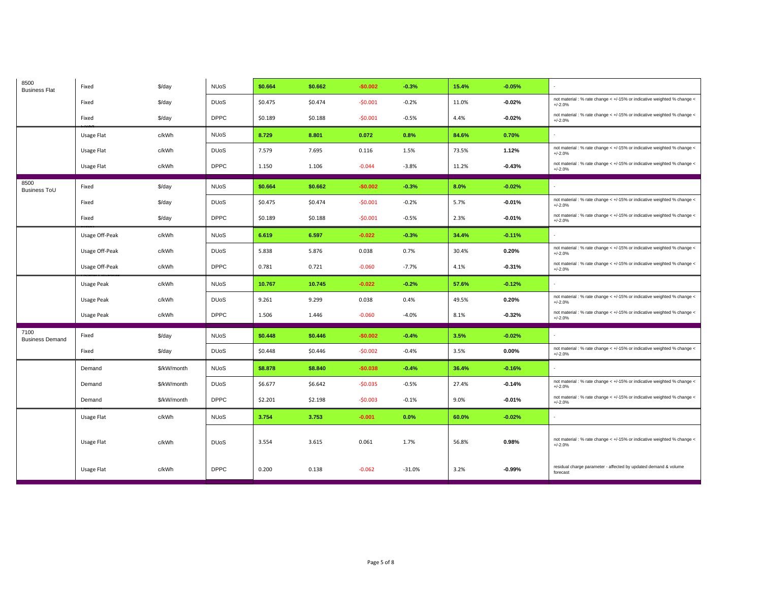| 8500<br><b>Business Flat</b>   | Fixed          | \$/day      | <b>NUoS</b>            | \$0.664 | \$0.662 | $-$0.002$ | $-0.3%$  | 15.4% | $-0.05%$ |                                                                                      |
|--------------------------------|----------------|-------------|------------------------|---------|---------|-----------|----------|-------|----------|--------------------------------------------------------------------------------------|
|                                | Fixed          | \$/day      | <b>DU<sub>o</sub>S</b> | \$0.475 | \$0.474 | $-50.001$ | $-0.2%$  | 11.0% | $-0.02%$ | not material : % rate change < +/-15% or indicative weighted % change <<br>$+/-2.0%$ |
|                                | Fixed          | \$/day      | <b>DPPC</b>            | \$0.189 | \$0.188 | $-50.001$ | $-0.5%$  | 4.4%  | $-0.02%$ | not material : % rate change < +/-15% or indicative weighted % change <<br>$+/-2.0%$ |
|                                | Usage Flat     | c/kWh       | <b>NUoS</b>            | 8.729   | 8.801   | 0.072     | 0.8%     | 84.6% | 0.70%    | $\sim$                                                                               |
|                                | Usage Flat     | c/kWh       | <b>DU<sub>o</sub>S</b> | 7.579   | 7.695   | 0.116     | 1.5%     | 73.5% | 1.12%    | not material : % rate change < +/-15% or indicative weighted % change <<br>$+/-2.0%$ |
|                                | Usage Flat     | c/kWh       | <b>DPPC</b>            | 1.150   | 1.106   | $-0.044$  | $-3.8%$  | 11.2% | $-0.43%$ | not material : % rate change < +/-15% or indicative weighted % change <<br>$+/-2.0%$ |
| 8500<br>Business ToU           | Fixed          | \$/day      | <b>NUoS</b>            | \$0.664 | \$0.662 | $-$0.002$ | $-0.3%$  | 8.0%  | $-0.02%$ |                                                                                      |
|                                | Fixed          | \$/day      | <b>DU<sub>o</sub>S</b> | \$0.475 | \$0.474 | $-50.001$ | $-0.2%$  | 5.7%  | $-0.01%$ | not material : % rate change < +/-15% or indicative weighted % change <<br>$+/-2.0%$ |
|                                | Fixed          | \$/day      | <b>DPPC</b>            | \$0.189 | \$0.188 | $-50.001$ | $-0.5%$  | 2.3%  | $-0.01%$ | not material : % rate change < +/-15% or indicative weighted % change <<br>$+/-2.0%$ |
|                                | Usage Off-Peak | c/kWh       | <b>NUoS</b>            | 6.619   | 6.597   | $-0.022$  | $-0.3%$  | 34.4% | $-0.11%$ | $\sim$                                                                               |
|                                | Usage Off-Peak | c/kWh       | <b>DU<sub>o</sub>S</b> | 5.838   | 5.876   | 0.038     | 0.7%     | 30.4% | 0.20%    | not material : % rate change < +/-15% or indicative weighted % change <<br>$+/-2.0%$ |
|                                | Usage Off-Peak | c/kWh       | <b>DPPC</b>            | 0.781   | 0.721   | $-0.060$  | $-7.7%$  | 4.1%  | $-0.31%$ | not material : % rate change < +/-15% or indicative weighted % change <<br>$+/-2.0%$ |
|                                | Usage Peak     | c/kWh       | <b>NUoS</b>            | 10.767  | 10.745  | $-0.022$  | $-0.2%$  | 57.6% | $-0.12%$ |                                                                                      |
|                                | Usage Peak     | c/kWh       | <b>DU<sub>o</sub>S</b> | 9.261   | 9.299   | 0.038     | 0.4%     | 49.5% | 0.20%    | not material : % rate change < +/-15% or indicative weighted % change <<br>$+/-2.0%$ |
|                                | Usage Peak     | c/kWh       | <b>DPPC</b>            | 1.506   | 1.446   | $-0.060$  | $-4.0%$  | 8.1%  | $-0.32%$ | not material : % rate change < +/-15% or indicative weighted % change <<br>$+/-2.0%$ |
| 7100<br><b>Business Demand</b> | Fixed          | \$/day      | <b>NUoS</b>            | \$0.448 | \$0.446 | $-$0.002$ | $-0.4%$  | 3.5%  | $-0.02%$ | $\sim$                                                                               |
|                                | Fixed          | \$/day      | <b>DU<sub>o</sub>S</b> | \$0.448 | \$0.446 | $-50.002$ | $-0.4%$  | 3.5%  | 0.00%    | not material : % rate change < +/-15% or indicative weighted % change <<br>$+/-2.0%$ |
|                                | Demand         | \$/kW/month | <b>NUoS</b>            | \$8,878 | \$8.840 | $-$0.038$ | $-0.4%$  | 36.4% | $-0.16%$ | $\mathbf{r}$                                                                         |
|                                | Demand         | \$/kW/month | <b>DU<sub>o</sub>S</b> | \$6.677 | \$6.642 | $-50.035$ | $-0.5%$  | 27.4% | $-0.14%$ | not material : % rate change < +/-15% or indicative weighted % change <<br>$+/-2.0%$ |
|                                | Demand         | \$/kW/month | <b>DPPC</b>            | \$2.201 | \$2.198 | $-50.003$ | $-0.1%$  | 9.0%  | $-0.01%$ | not material : % rate change < +/-15% or indicative weighted % change <<br>$+/-2.0%$ |
|                                | Usage Flat     | c/kWh       | <b>NUoS</b>            | 3.754   | 3.753   | $-0.001$  | 0.0%     | 60.0% | $-0.02%$ | $\omega$                                                                             |
|                                | Usage Flat     | c/kWh       | <b>DU<sub>o</sub>S</b> | 3.554   | 3.615   | 0.061     | 1.7%     | 56.8% | 0.98%    | not material : % rate change < +/-15% or indicative weighted % change <<br>$+/-2.0%$ |
|                                | Usage Flat     | c/kWh       | <b>DPPC</b>            | 0.200   | 0.138   | $-0.062$  | $-31.0%$ | 3.2%  | $-0.99%$ | residual charge parameter - affected by updated demand & volume<br>forecast          |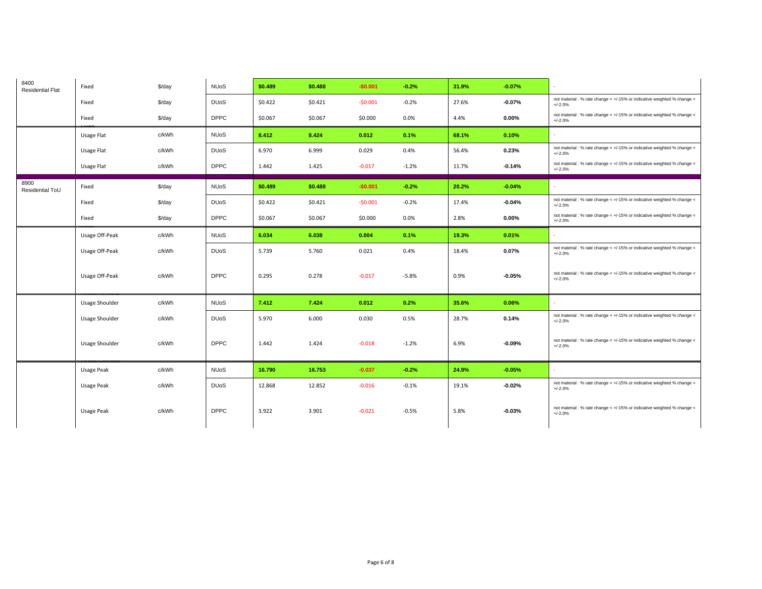| 8400<br><b>Residential Flat</b> | Fixed             | \$/day             | <b>NUoS</b>            | \$0.489 | \$0.488 | $-$0.001$ | $-0.2%$ | 31.9% | $-0.07%$ |                                                                                      |
|---------------------------------|-------------------|--------------------|------------------------|---------|---------|-----------|---------|-------|----------|--------------------------------------------------------------------------------------|
|                                 | Fixed             | \$/day             | <b>DU<sub>o</sub>S</b> | \$0.422 | \$0.421 | $-50.001$ | $-0.2%$ | 27.6% | $-0.07%$ | not material : % rate change < +/-15% or indicative weighted % change <<br>$+/-2.0%$ |
|                                 | Fixed             | \$/day             | <b>DPPC</b>            | \$0.067 | \$0.067 | \$0.000   | 0.0%    | 4.4%  | $0.00\%$ | not material : % rate change < +/-15% or indicative weighted % change <<br>$+/-2.0%$ |
|                                 | Usage Flat        | c/kWh              | <b>NUoS</b>            | 8.412   | 8.424   | 0.012     | 0.1%    | 68.1% | 0.10%    |                                                                                      |
|                                 | Usage Flat        | c/kWh              | <b>DU<sub>o</sub>S</b> | 6.970   | 6.999   | 0.029     | 0.4%    | 56.4% | 0.23%    | not material : % rate change < +/-15% or indicative weighted % change <<br>$+/-2.0%$ |
|                                 | Usage Flat        | c/kWh              | <b>DPPC</b>            | 1.442   | 1.425   | $-0.017$  | $-1.2%$ | 11.7% | $-0.14%$ | not material : % rate change < +/-15% or indicative weighted % change <<br>$+/-2.0%$ |
| 8900<br>Residential ToU         | Fixed             | \$/day             | <b>NUoS</b>            | \$0.489 | \$0.488 | $-$0.001$ | $-0.2%$ | 20.2% | $-0.04%$ | $\sim$                                                                               |
|                                 | Fixed             | $\frac{4}{3}$ /day | <b>DU<sub>o</sub>S</b> | \$0.422 | \$0.421 | $-50.001$ | $-0.2%$ | 17.4% | $-0.04%$ | not material : % rate change < +/-15% or indicative weighted % change <<br>$+/-2.0%$ |
|                                 | Fixed             | \$/day             | <b>DPPC</b>            | \$0.067 | \$0.067 | \$0.000   | 0.0%    | 2.8%  | $0.00\%$ | not material : % rate change < +/-15% or indicative weighted % change <<br>$+/-2.0%$ |
|                                 | Usage Off-Peak    | c/kWh              | <b>NUoS</b>            | 6.034   | 6.038   | 0.004     | 0.1%    | 19.3% | 0.01%    |                                                                                      |
|                                 | Usage Off-Peak    | c/kWh              | <b>DU<sub>o</sub>S</b> | 5.739   | 5.760   | 0.021     | 0.4%    | 18.4% | 0.07%    | not material : % rate change < +/-15% or indicative weighted % change <<br>$+/-2.0%$ |
|                                 | Usage Off-Peak    | c/kWh              | <b>DPPC</b>            | 0.295   | 0.278   | $-0.017$  | $-5.8%$ | 0.9%  | $-0.05%$ | not material : % rate change < +/-15% or indicative weighted % change <<br>$+/-2.0%$ |
|                                 | Usage Shoulder    | c/kWh              | <b>NUoS</b>            | 7.412   | 7.424   | 0.012     | 0.2%    | 35.6% | 0.06%    | $\sim$                                                                               |
|                                 | Usage Shoulder    | c/kWh              | <b>DU<sub>o</sub>S</b> | 5.970   | 6.000   | 0.030     | 0.5%    | 28.7% | 0.14%    | not material : % rate change < +/-15% or indicative weighted % change <<br>$+/-2.0%$ |
|                                 | Usage Shoulder    | c/kWh              | <b>DPPC</b>            | 1.442   | 1.424   | $-0.018$  | $-1.2%$ | 6.9%  | $-0.09%$ | not material : % rate change < +/-15% or indicative weighted % change <<br>$+/-2.0%$ |
|                                 | <b>Usage Peak</b> | c/kWh              | <b>NUoS</b>            | 16.790  | 16.753  | $-0.037$  | $-0.2%$ | 24.9% | $-0.05%$ | $\sim$                                                                               |
|                                 | Usage Peak        | c/kWh              | <b>DU<sub>o</sub>S</b> | 12.868  | 12.852  | $-0.016$  | $-0.1%$ | 19.1% | $-0.02%$ | not material : % rate change < +/-15% or indicative weighted % change <<br>$+/-2.0%$ |
|                                 | Usage Peak        | c/kWh              | <b>DPPC</b>            | 3.922   | 3.901   | $-0.021$  | $-0.5%$ | 5.8%  | $-0.03%$ | not material : % rate change < +/-15% or indicative weighted % change <<br>$+/-2.0%$ |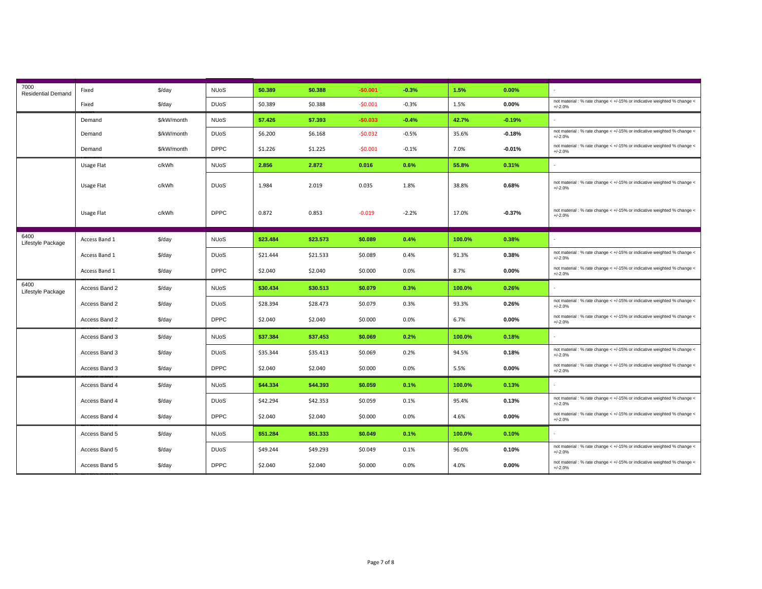| 7000<br><b>Residential Demand</b> | Fixed         | \$/day      | <b>NUoS</b>            | \$0.389  | \$0.388  | $-$0.001$ | $-0.3%$ | 1.5%   | 0.00%    |                                                                                      |
|-----------------------------------|---------------|-------------|------------------------|----------|----------|-----------|---------|--------|----------|--------------------------------------------------------------------------------------|
|                                   | Fixed         | \$/day      | <b>DU<sub>o</sub>S</b> | \$0.389  | \$0.388  | $-50.001$ | $-0.3%$ | 1.5%   | $0.00\%$ | not material : % rate change < +/-15% or indicative weighted % change <<br>$+/-2.0%$ |
|                                   | Demand        | \$/kW/month | <b>NUoS</b>            | \$7.426  | \$7.393  | $-$0.033$ | $-0.4%$ | 42.7%  | $-0.19%$ |                                                                                      |
|                                   | Demand        | \$/kW/month | <b>DU<sub>o</sub>S</b> | \$6.200  | \$6.168  | $-50.032$ | $-0.5%$ | 35.6%  | $-0.18%$ | not material : % rate change < +/-15% or indicative weighted % change <<br>$+/-2.0%$ |
|                                   | Demand        | \$/kW/month | <b>DPPC</b>            | \$1.226  | \$1.225  | $-50.001$ | $-0.1%$ | 7.0%   | $-0.01%$ | not material : % rate change < +/-15% or indicative weighted % change <<br>$+/-2.0%$ |
|                                   | Usage Flat    | c/kWh       | <b>NUoS</b>            | 2.856    | 2.872    | 0.016     | 0.6%    | 55.8%  | 0.31%    | $\sim$                                                                               |
|                                   | Usage Flat    | c/kWh       | <b>DU<sub>o</sub>S</b> | 1.984    | 2.019    | 0.035     | 1.8%    | 38.8%  | 0.68%    | not material : % rate change < +/-15% or indicative weighted % change <<br>$+/-2.0%$ |
|                                   | Usage Flat    | c/kWh       | <b>DPPC</b>            | 0.872    | 0.853    | $-0.019$  | $-2.2%$ | 17.0%  | $-0.37%$ | not material : % rate change < +/-15% or indicative weighted % change <<br>$+/-2.0%$ |
| 6400<br>Lifestyle Package         | Access Band 1 | \$/day      | <b>NUoS</b>            | \$23.484 | \$23.573 | \$0.089   | 0.4%    | 100.0% | 0.38%    |                                                                                      |
|                                   | Access Band 1 | \$/day      | <b>DU<sub>o</sub>S</b> | \$21.444 | \$21.533 | \$0.089   | 0.4%    | 91.3%  | 0.38%    | not material : % rate change < +/-15% or indicative weighted % change <<br>$+/-2.0%$ |
|                                   | Access Band 1 | \$/day      | <b>DPPC</b>            | \$2.040  | \$2.040  | \$0.000   | 0.0%    | 8.7%   | $0.00\%$ | not material : % rate change < +/-15% or indicative weighted % change <<br>$+/-2.0%$ |
| 6400<br>Lifestyle Package         | Access Band 2 | \$/day      | <b>NUoS</b>            | \$30.434 | \$30.513 | \$0.079   | 0.3%    | 100.0% | 0.26%    | $\sim$                                                                               |
|                                   | Access Band 2 | \$/day      | <b>DU<sub>o</sub>S</b> | \$28.394 | \$28.473 | \$0.079   | 0.3%    | 93.3%  | 0.26%    | not material : % rate change < +/-15% or indicative weighted % change <<br>$+/-2.0%$ |
|                                   | Access Band 2 | \$/day      | <b>DPPC</b>            | \$2.040  | \$2.040  | \$0.000   | 0.0%    | 6.7%   | 0.00%    | not material : % rate change < +/-15% or indicative weighted % change <<br>$+/-2.0%$ |
|                                   | Access Band 3 | \$/day      | <b>NUoS</b>            | \$37.384 | \$37.453 | \$0.069   | 0.2%    | 100.0% | 0.18%    | $\sim$                                                                               |
|                                   | Access Band 3 | \$/day      | <b>DU<sub>o</sub>S</b> | \$35.344 | \$35.413 | \$0.069   | 0.2%    | 94.5%  | 0.18%    | not material : % rate change < +/-15% or indicative weighted % change <<br>$+/-2.0%$ |
|                                   | Access Band 3 | \$/day      | <b>DPPC</b>            | \$2.040  | \$2.040  | \$0.000   | 0.0%    | 5.5%   | $0.00\%$ | not material : % rate change < +/-15% or indicative weighted % change <<br>$+/-2.0%$ |
|                                   | Access Band 4 | \$/day      | <b>NUoS</b>            | \$44.334 | \$44.393 | \$0.059   | 0.1%    | 100.0% | 0.13%    |                                                                                      |
|                                   | Access Band 4 | \$/day      | <b>DU<sub>o</sub>S</b> | \$42.294 | \$42.353 | \$0.059   | 0.1%    | 95.4%  | 0.13%    | not material : % rate change < +/-15% or indicative weighted % change <<br>$+/-2.0%$ |
|                                   | Access Band 4 | \$/day      | <b>DPPC</b>            | \$2.040  | \$2.040  | \$0.000   | 0.0%    | 4.6%   | $0.00\%$ | not material : % rate change < +/-15% or indicative weighted % change <<br>$+/-2.0%$ |
|                                   | Access Band 5 | \$/day      | <b>NUoS</b>            | \$51.284 | \$51.333 | \$0.049   | 0.1%    | 100.0% | 0.10%    |                                                                                      |
|                                   | Access Band 5 | \$/day      | <b>DU<sub>o</sub>S</b> | \$49.244 | \$49.293 | \$0.049   | 0.1%    | 96.0%  | 0.10%    | not material : % rate change < +/-15% or indicative weighted % change <<br>$+/-2.0%$ |
|                                   | Access Band 5 | $$$ /day    | <b>DPPC</b>            | \$2.040  | \$2.040  | \$0.000   | 0.0%    | 4.0%   | 0.00%    | not material : % rate change < +/-15% or indicative weighted % change <<br>$+/-2.0%$ |